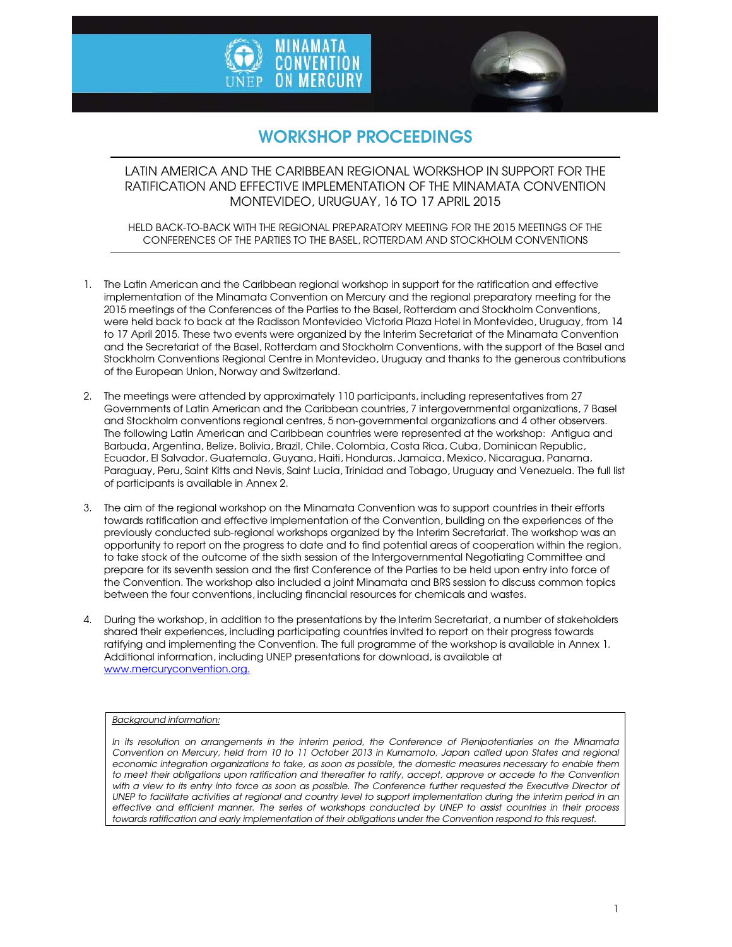



# WORKSHOP PROCEEDINGS

LATIN AMERICA AND THE CARIBBEAN REGIONAL WORKSHOP IN SUPPORT FOR THE RATIFICATION AND EFFECTIVE IMPLEMENTATION OF THE MINAMATA CONVENTION MONTEVIDEO, URUGUAY, 16 TO 17 APRIL 2015

HELD BACK-TO-BACK WITH THE REGIONAL PREPARATORY MEETING FOR THE 2015 MEETINGS OF THE CONFERENCES OF THE PARTIES TO THE BASEL, ROTTERDAM AND STOCKHOLM CONVENTIONS

- 1. The Latin American and the Caribbean regional workshop in support for the ratification and effective implementation of the Minamata Convention on Mercury and the regional preparatory meeting for the 2015 meetings of the Conferences of the Parties to the Basel, Rotterdam and Stockholm Conventions, were held back to back at the Radisson Montevideo Victoria Plaza Hotel in Montevideo, Uruguay, from 14 to 17 April 2015. These two events were organized by the Interim Secretariat of the Minamata Convention and the Secretariat of the Basel, Rotterdam and Stockholm Conventions, with the support of the Basel and Stockholm Conventions Regional Centre in Montevideo, Uruguay and thanks to the generous contributions of the European Union, Norway and Switzerland.
- 2. The meetings were attended by approximately 110 participants, including representatives from 27 Governments of Latin American and the Caribbean countries, 7 intergovernmental organizations, 7 Basel and Stockholm conventions regional centres, 5 non-governmental organizations and 4 other observers. The following Latin American and Caribbean countries were represented at the workshop: Antigua and Barbuda, Argentina, Belize, Bolivia, Brazil, Chile, Colombia, Costa Rica, Cuba, Dominican Republic, Ecuador, El Salvador, Guatemala, Guyana, Haiti, Honduras, Jamaica, Mexico, Nicaragua, Panama, Paraguay, Peru, Saint Kitts and Nevis, Saint Lucia, Trinidad and Tobago, Uruguay and Venezuela. The full list of participants is available in Annex 2.
- 3. The aim of the regional workshop on the Minamata Convention was to support countries in their efforts towards ratification and effective implementation of the Convention, building on the experiences of the previously conducted sub-regional workshops organized by the Interim Secretariat. The workshop was an opportunity to report on the progress to date and to find potential areas of cooperation within the region, to take stock of the outcome of the sixth session of the Intergovernmental Negotiating Committee and prepare for its seventh session and the first Conference of the Parties to be held upon entry into force of the Convention. The workshop also included a joint Minamata and BRS session to discuss common topics between the four conventions, including financial resources for chemicals and wastes.
- 4. During the workshop, in addition to the presentations by the Interim Secretariat, a number of stakeholders shared their experiences, including participating countries invited to report on their progress towards ratifying and implementing the Convention. The full programme of the workshop is available in Annex 1. Additional information, including UNEP presentations for download, is available at www.mercuryconvention.org.

#### *Background information:*

*In its resolution on arrangements in the interim period, the Conference of Plenipotentiaries on the Minamata Convention on Mercury, held from 10 to 11 October 2013 in Kumamoto, Japan called upon States and regional economic integration organizations to take, as soon as possible, the domestic measures necessary to enable them* to meet their obligations upon ratification and thereafter to ratify, accept, approve or accede to the Convention with a view to its entry into force as soon as possible. The Conference further requested the Executive Director of UNEP to facilitate activities at regional and country level to support implementation during the interim period in an *effective and efficient manner. The series of workshops conducted by UNEP to assist countries in their process*  towards ratification and early implementation of their obligations under the Convention respond to this request.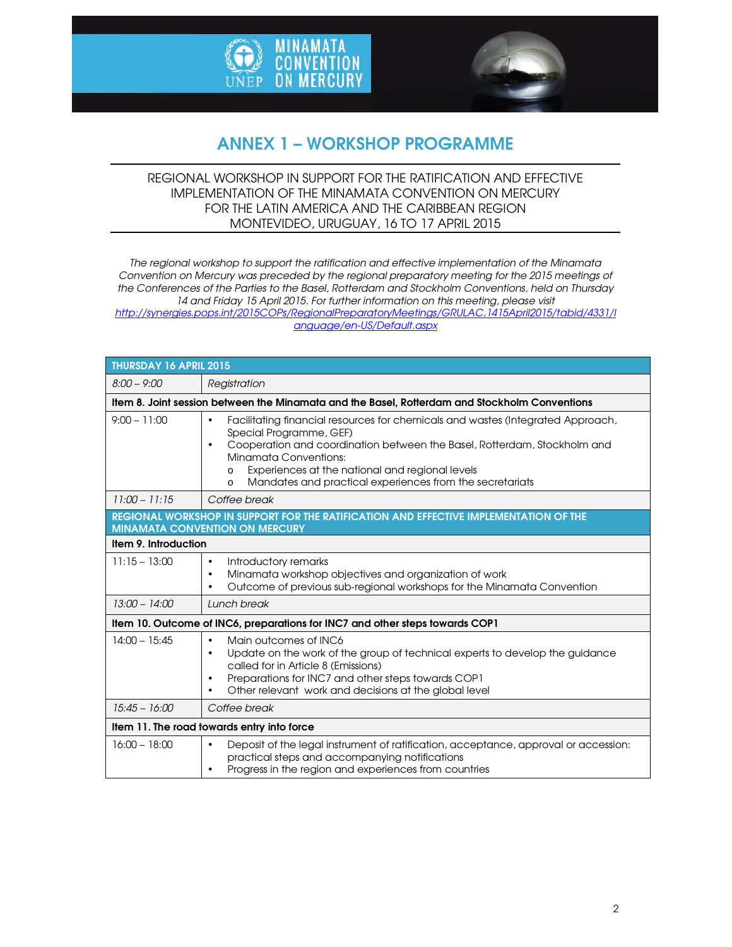



# ANNEX 1 – WORKSHOP PROGRAMME

### REGIONAL WORKSHOP IN SUPPORT FOR THE RATIFICATION AND EFFECTIVE IMPLEMENTATION OF THE MINAMATA CONVENTION ON MERCURY FOR THE LATIN AMERICA AND THE CARIBBEAN REGION MONTEVIDEO, URUGUAY, 16 TO 17 APRIL 2015

*The regional workshop to support the ratification and effective implementation of the Minamata Convention on Mercury was preceded by the regional preparatory meeting for the 2015 meetings of the Conferences of the Parties to the Basel, Rotterdam and Stockholm Conventions, held on Thursday 14 and Friday 15 April 2015. For further information on this meeting, please visit http://synergies.pops.int/2015COPs/RegionalPreparatoryMeetings/GRULAC,1415April2015/tabid/4331/l anguage/en-US/Default.aspx*

| THURSDAY 16 APRIL 2015                                                                        |                                                                                                                                                                                                                                                                                                                                                                                 |  |
|-----------------------------------------------------------------------------------------------|---------------------------------------------------------------------------------------------------------------------------------------------------------------------------------------------------------------------------------------------------------------------------------------------------------------------------------------------------------------------------------|--|
| $8:00 - 9:00$                                                                                 | Registration                                                                                                                                                                                                                                                                                                                                                                    |  |
| Item 8. Joint session between the Minamata and the Basel, Rotterdam and Stockholm Conventions |                                                                                                                                                                                                                                                                                                                                                                                 |  |
| $9:00 - 11:00$                                                                                | Facilitating financial resources for chemicals and wastes (Integrated Approach,<br>$\bullet$<br>Special Programme, GEF)<br>Cooperation and coordination between the Basel, Rotterdam, Stockholm and<br>$\bullet$<br>Minamata Conventions:<br>Experiences at the national and regional levels<br>$\Omega$<br>Mandates and practical experiences from the secretariats<br>$\circ$ |  |
| $11:00 - 11:15$                                                                               | Coffee break                                                                                                                                                                                                                                                                                                                                                                    |  |
|                                                                                               | REGIONAL WORKSHOP IN SUPPORT FOR THE RATIFICATION AND EFFECTIVE IMPLEMENTATION OF THE<br><b>MINAMATA CONVENTION ON MERCURY</b>                                                                                                                                                                                                                                                  |  |
| Item 9. Introduction                                                                          |                                                                                                                                                                                                                                                                                                                                                                                 |  |
| $11:15 - 13:00$                                                                               | Introductory remarks<br>$\bullet$<br>Minamata workshop objectives and organization of work<br>٠<br>Outcome of previous sub-regional workshops for the Minamata Convention<br>٠                                                                                                                                                                                                  |  |
| $13:00 - 14:00$                                                                               | Lunch break                                                                                                                                                                                                                                                                                                                                                                     |  |
| Item 10. Outcome of INC6, preparations for INC7 and other steps towards COP1                  |                                                                                                                                                                                                                                                                                                                                                                                 |  |
| $14:00 - 15:45$                                                                               | Main outcomes of INC6<br>$\bullet$<br>Update on the work of the group of technical experts to develop the guidance<br>$\bullet$<br>called for in Article 8 (Emissions)<br>Preparations for INC7 and other steps towards COP1<br>$\bullet$<br>Other relevant work and decisions at the global level                                                                              |  |
| $15:45 - 16:00$                                                                               | Coffee break                                                                                                                                                                                                                                                                                                                                                                    |  |
| Item 11. The road towards entry into force                                                    |                                                                                                                                                                                                                                                                                                                                                                                 |  |
| $16:00 - 18:00$                                                                               | Deposit of the legal instrument of ratification, acceptance, approval or accession:<br>$\bullet$<br>practical steps and accompanying notifications<br>Progress in the region and experiences from countries                                                                                                                                                                     |  |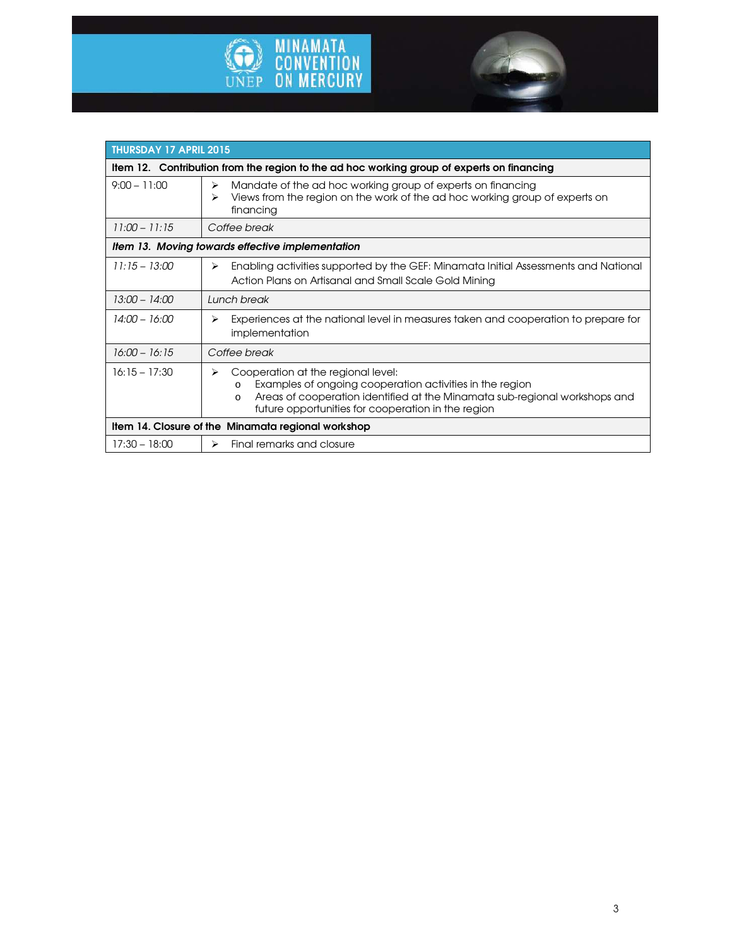



| <b>THURSDAY 17 APRIL 2015</b>                                                             |                                                                                                                                                                                                                                                         |  |
|-------------------------------------------------------------------------------------------|---------------------------------------------------------------------------------------------------------------------------------------------------------------------------------------------------------------------------------------------------------|--|
| Item 12. Contribution from the region to the ad hoc working group of experts on financing |                                                                                                                                                                                                                                                         |  |
| $9:00 - 11:00$                                                                            | Mandate of the ad hoc working group of experts on financing<br>⋗<br>Views from the region on the work of the ad hoc working group of experts on<br>⋗<br>financing                                                                                       |  |
| $11:00 - 11:15$                                                                           | Coffee break                                                                                                                                                                                                                                            |  |
| Item 13. Moving towards effective implementation                                          |                                                                                                                                                                                                                                                         |  |
| $11:15 - 13:00$                                                                           | Enabling activities supported by the GEF: Minamata Initial Assessments and National<br>⋗<br>Action Plans on Artisanal and Small Scale Gold Mining                                                                                                       |  |
| $13:00 - 14:00$                                                                           | Lunch break                                                                                                                                                                                                                                             |  |
| 14:00 – 16:00                                                                             | Experiences at the national level in measures taken and cooperation to prepare for<br>⋗<br>implementation                                                                                                                                               |  |
| $16:00 - 16:15$                                                                           | Coffee break                                                                                                                                                                                                                                            |  |
| $16:15 - 17:30$                                                                           | Cooperation at the regional level:<br>⋗<br>Examples of ongoing cooperation activities in the region<br>O<br>Areas of cooperation identified at the Minamata sub-regional workshops and<br>$\circ$<br>future opportunities for cooperation in the region |  |
| Item 14. Closure of the Minamata regional workshop                                        |                                                                                                                                                                                                                                                         |  |
| $17:30 - 18:00$                                                                           | Final remarks and closure<br>$\blacktriangleright$                                                                                                                                                                                                      |  |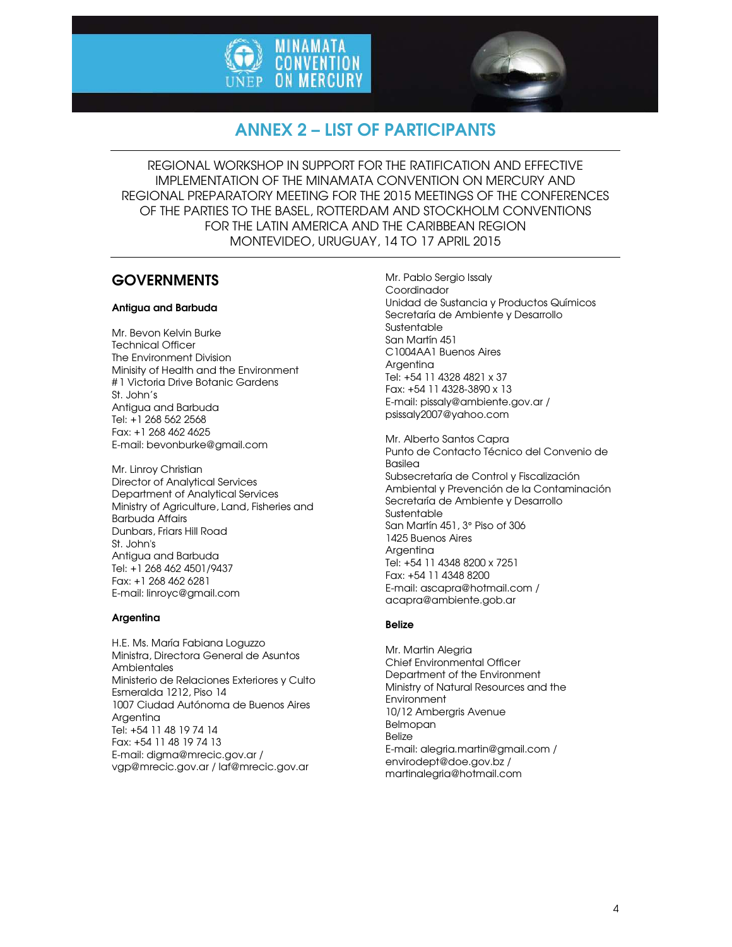



# ANNEX 2 – LIST OF PARTICIPANTS

REGIONAL WORKSHOP IN SUPPORT FOR THE RATIFICATION AND EFFECTIVE IMPLEMENTATION OF THE MINAMATA CONVENTION ON MERCURY AND REGIONAL PREPARATORY MEETING FOR THE 2015 MEETINGS OF THE CONFERENCES OF THE PARTIES TO THE BASEL, ROTTERDAM AND STOCKHOLM CONVENTIONS FOR THE LATIN AMERICA AND THE CARIBBEAN REGION MONTEVIDEO, URUGUAY, 14 TO 17 APRIL 2015

### **GOVERNMENTS**

### Antigua and Barbuda

Mr. Bevon Kelvin Burke Technical Officer The Environment Division Minisity of Health and the Environment # 1 Victoria Drive Botanic Gardens St. John's Antigua and Barbuda Tel: +1 268 562 2568 Fax: +1 268 462 4625 E-mail: bevonburke@gmail.com

Mr. Linroy Christian Director of Analytical Services Department of Analytical Services Ministry of Agriculture, Land, Fisheries and Barbuda Affairs Dunbars, Friars Hill Road St. John's Antigua and Barbuda Tel: +1 268 462 4501/9437 Fax: +1 268 462 6281 E-mail: linroyc@gmail.com

### **Argentina**

H.E. Ms. María Fabiana Loguzzo Ministra, Directora General de Asuntos **Ambientales** Ministerio de Relaciones Exteriores y Culto Esmeralda 1212, Piso 14 1007 Ciudad Autónoma de Buenos Aires Argentina Tel: +54 11 48 19 74 14 Fax: +54 11 48 19 74 13 E-mail: digma@mrecic.gov.ar / vgp@mrecic.gov.ar / laf@mrecic.gov.ar

Mr. Pablo Sergio Issaly Coordinador Unidad de Sustancia y Productos Químicos Secretaría de Ambiente y Desarrollo **Sustentable** San Martín 451 C1004AA1 Buenos Aires Argentina Tel: +54 11 4328 4821 x 37 Fax: +54 11 4328-3890 x 13 E-mail: pissaly@ambiente.gov.ar / psissaly2007@yahoo.com

Mr. Alberto Santos Capra Punto de Contacto Técnico del Convenio de **Basilea** Subsecretaría de Control y Fiscalización Ambiental y Prevención de la Contaminación Secretaría de Ambiente y Desarrollo **Sustentable** San Martín 451, 3° Piso of 306 1425 Buenos Aires **Argenting** Tel: +54 11 4348 8200 x 7251 Fax: +54 11 4348 8200 E-mail: ascapra@hotmail.com / acapra@ambiente.gob.ar

### Belize

Mr. Martin Alegria Chief Environmental Officer Department of the Environment Ministry of Natural Resources and the Environment 10/12 Ambergris Avenue Belmopan Belize E-mail: alegria.martin@gmail.com / envirodept@doe.gov.bz / martinalegria@hotmail.com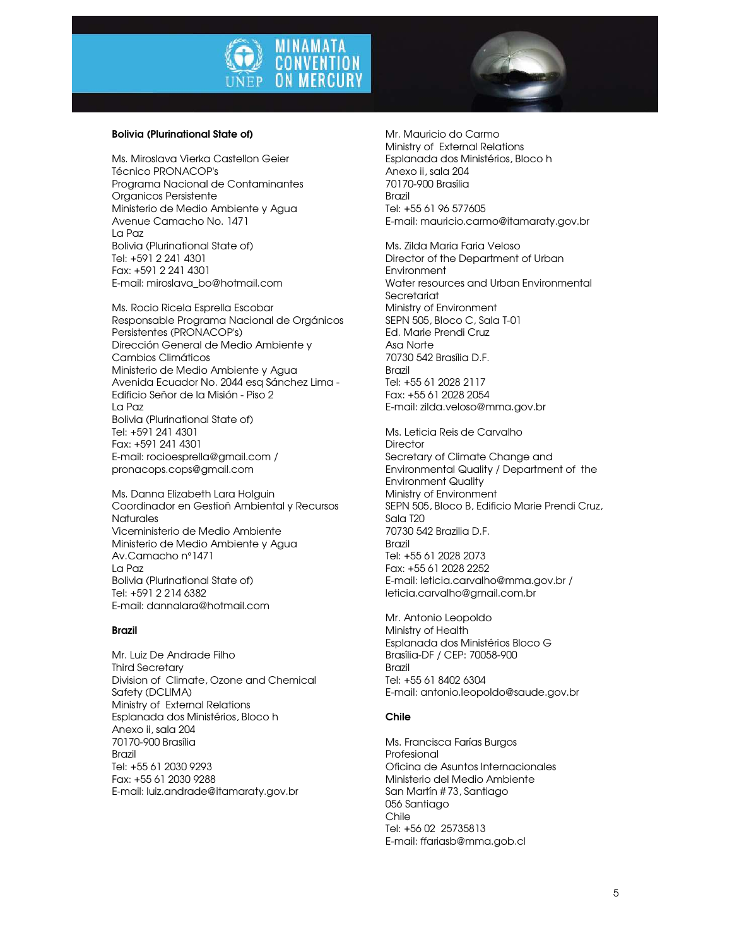



Ms. Miroslava Vierka Castellon Geier Técnico PRONACOP's Programa Nacional de Contaminantes Organicos Persistente Ministerio de Medio Ambiente y Agua Avenue Camacho No. 1471 La Paz Bolivia (Plurinational State of) Tel: +591 2 241 4301 Fax: +591 2 241 4301 E-mail: miroslava\_bo@hotmail.com

Ms. Rocio Ricela Esprella Escobar Responsable Programa Nacional de Orgánicos Persistentes (PRONACOP's) Dirección General de Medio Ambiente y Cambios Climáticos Ministerio de Medio Ambiente y Agua Avenida Ecuador No. 2044 esq Sánchez Lima - Edificio Señor de la Misión - Piso 2 La Paz Bolivia (Plurinational State of) Tel: +591 241 4301 Fax: +591 241 4301 E-mail: rocioesprella@gmail.com / pronacops.cops@gmail.com

Ms. Danna Elizabeth Lara Holguin Coordinador en Gestioñ Ambiental y Recursos **Naturales** Viceministerio de Medio Ambiente Ministerio de Medio Ambiente y Agua Av.Camacho n°1471 La Paz Bolivia (Plurinational State of) Tel: +591 2 214 6382 E-mail: dannalara@hotmail.com

### Brazil

Mr. Luiz De Andrade Filho Third Secretary Division of Climate, Ozone and Chemical Safety (DCLIMA) Ministry of External Relations Esplanada dos Ministérios, Bloco h Anexo ii, sala 204 70170-900 Brasília Brazil Tel: +55 61 2030 9293 Fax: +55 61 2030 9288 E-mail: luiz.andrade@itamaraty.gov.br

Mr. Mauricio do Carmo Ministry of External Relations Esplanada dos Ministérios, Bloco h Anexo ii, sala 204 70170-900 Brasília Brazil Tel: +55 61 96 577605 E-mail: mauricio.carmo@itamaraty.gov.br

Ms. Zilda Maria Faria Veloso Director of the Department of Urban **Environment** Water resources and Urban Environmental **Secretariat** Ministry of Environment SEPN 505, Bloco C, Sala T-01 Ed. Marie Prendi Cruz Asa Norte 70730 542 Brasília D.F. Brazil Tel: +55 61 2028 2117 Fax: +55 61 2028 2054 E-mail: zilda.veloso@mma.gov.br

Ms. Leticia Reis de Carvalho **Director** Secretary of Climate Change and Environmental Quality / Department of the Environment Quality Ministry of Environment SEPN 505, Bloco B, Edificio Marie Prendi Cruz, Sala T20 70730 542 Brazilia D.F. Brazil Tel: +55 61 2028 2073 Fax: +55 61 2028 2252 E-mail: leticia.carvalho@mma.gov.br / leticia.carvalho@gmail.com.br

Mr. Antonio Leopoldo Ministry of Health Esplanada dos Ministérios Bloco G Brasília-DF / CEP: 70058-900 Brazil Tel: +55 61 8402 6304 E-mail: antonio.leopoldo@saude.gov.br

### Chile

Ms. Francisca Farías Burgos Profesional Oficina de Asuntos Internacionales Ministerio del Medio Ambiente San Martín # 73, Santiago 056 Santiago Chile Tel: +56 02 25735813 E-mail: ffariasb@mma.gob.cl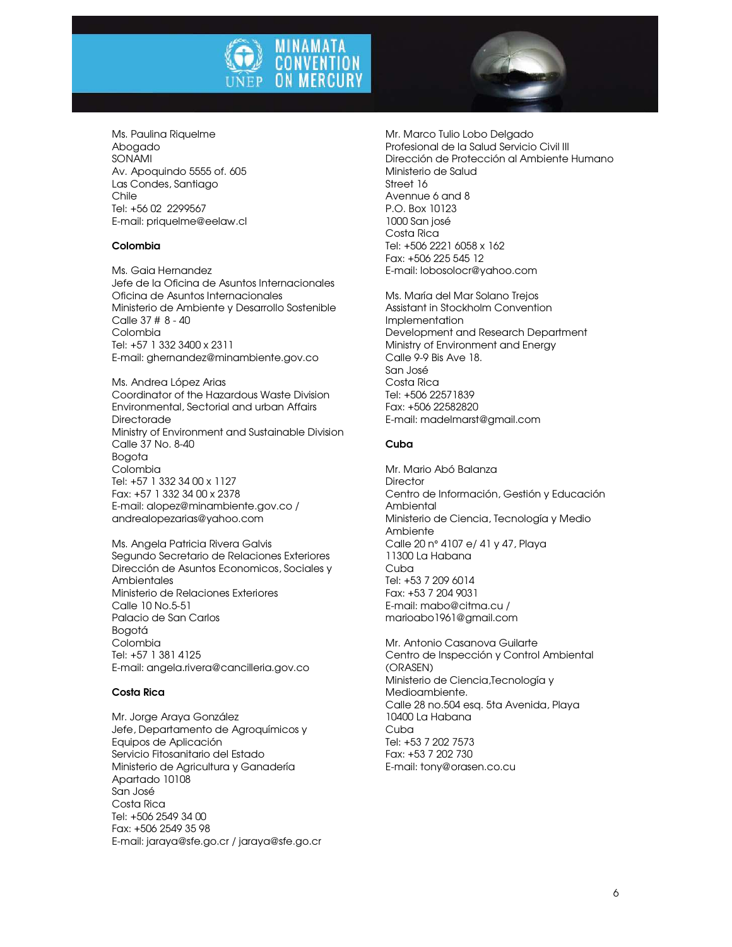



Ms. Paulina Riquelme Abogado SONAMI Av. Apoquindo 5555 of. 605 Las Condes, Santiago Chile Tel: +56 02 2299567 E-mail: priquelme@eelaw.cl

### Colombia

Ms. Gaia Hernandez Jefe de la Oficina de Asuntos Internacionales Oficina de Asuntos Internacionales Ministerio de Ambiente y Desarrollo Sostenible Calle 37 # 8 - 40 Colombia Tel: +57 1 332 3400 x 2311 E-mail: ghernandez@minambiente.gov.co

Ms. Andrea López Arias Coordinator of the Hazardous Waste Division Environmental, Sectorial and urban Affairs **Directorade** Ministry of Environment and Sustainable Division Calle 37 No. 8-40 Bogota Colombia Tel: +57 1 332 34 00 x 1127 Fax: +57 1 332 34 00 x 2378 E-mail: alopez@minambiente.gov.co / andrealopezarias@yahoo.com

Ms. Angela Patricia Rivera Galvis Segundo Secretario de Relaciones Exteriores Dirección de Asuntos Economicos, Sociales y **Ambientales** Ministerio de Relaciones Exteriores Calle 10 No.5-51 Palacio de San Carlos Bogotá Colombia Tel: +57 1 381 4125 E-mail: angela.rivera@cancilleria.gov.co

### Costa Rica

Mr. Jorge Araya González Jefe, Departamento de Agroquímicos y Equipos de Aplicación Servicio Fitosanitario del Estado Ministerio de Agricultura y Ganadería Apartado 10108 San José Costa Rica Tel: +506 2549 34 00 Fax: +506 2549 35 98 E-mail: jaraya@sfe.go.cr / jaraya@sfe.go.cr Mr. Marco Tulio Lobo Delgado Profesional de la Salud Servicio Civil III Dirección de Protección al Ambiente Humano Ministerio de Salud Street 16 Avennue 6 and 8 P.O. Box 10123 1000 San josé Costa Rica Tel: +506 2221 6058 x 162 Fax: +506 225 545 12 E-mail: lobosolocr@yahoo.com

Ms. María del Mar Solano Trejos Assistant in Stockholm Convention Implementation Development and Research Department Ministry of Environment and Energy Calle 9-9 Bis Ave 18. San José Costa Rica Tel: +506 22571839 Fax: +506 22582820 E-mail: madelmarst@gmail.com

### Cuba

Mr. Mario Abó Balanza **Director** Centro de Información, Gestión y Educación **Ambiental** Ministerio de Ciencia, Tecnología y Medio Ambiente Calle 20 n° 4107 e/ 41 y 47, Playa 11300 La Habana Cuba Tel: +53 7 209 6014 Fax: +53 7 204 9031 E-mail: mabo@citma.cu / marioabo1961@gmail.com

Mr. Antonio Casanova Guilarte Centro de Inspección y Control Ambiental (ORASEN) Ministerio de Ciencia,Tecnología y Medioambiente. Calle 28 no.504 esq. 5ta Avenida, Playa 10400 La Habana Cuba Tel: +53 7 202 7573 Fax: +53 7 202 730 E-mail: tony@orasen.co.cu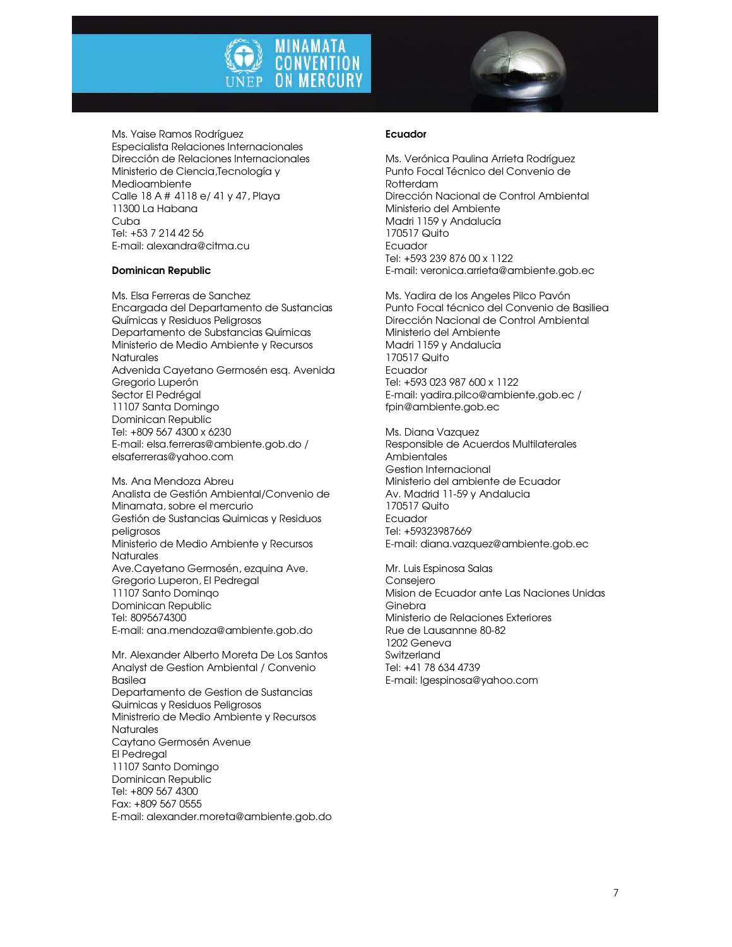



Ms. Yaise Ramos Rodríguez Especialista Relaciones Internacionales Dirección de Relaciones Internacionales Ministerio de Ciencia,Tecnología y Medioambiente Calle 18 A # 4118 e/ 41 y 47, Playa 11300 La Habana Cuba Tel: +53 7 214 42 56 E-mail: alexandra@citma.cu

### Dominican Republic

Ms. Elsa Ferreras de Sanchez Encargada del Departamento de Sustancias Químicas y Residuos Peligrosos Departamento de Substancias Químicas Ministerio de Medio Ambiente y Recursos **Naturales** Advenida Cayetano Germosén esq. Avenida Gregorio Luperón Sector El Pedrégal 11107 Santa Domingo Dominican Republic Tel: +809 567 4300 x 6230 E-mail: elsa.ferreras@ambiente.gob.do / elsaferreras@yahoo.com

Ms. Ana Mendoza Abreu Analista de Gestión Ambiental/Convenio de Minamata, sobre el mercurio Gestión de Sustancias Quimicas y Residuos peligrosos Ministerio de Medio Ambiente y Recursos **Naturales** Ave.Cavetano Germosén, ezquina Ave. Gregorio Luperon, El Pedregal 11107 Santo Dominqo Dominican Republic Tel: 8095674300 E-mail: ana.mendoza@ambiente.gob.do

Mr. Alexander Alberto Moreta De Los Santos Analyst de Gestion Ambiental / Convenio Basilea Departamento de Gestion de Sustancias Quimicas y Residuos Peligrosos Ministrerio de Medio Ambiente y Recursos **Naturales** Caytano Germosén Avenue El Pedregal 11107 Santo Domingo Dominican Republic Tel: +809 567 4300 Fax: +809 567 0555 E-mail: alexander.moreta@ambiente.gob.do

### Ecuador

Ms. Verónica Paulina Arrieta Rodríguez Punto Focal Técnico del Convenio de Rotterdam Dirección Nacional de Control Ambiental Ministerio del Ambiente Madri 1159 y Andalucía 170517 Quito Ecuador Tel: +593 239 876 00 x 1122 E-mail: veronica.arrieta@ambiente.gob.ec

Ms. Yadira de los Angeles Pilco Pavón Punto Focal técnico del Convenio de Basiliea Dirección Nacional de Control Ambiental Ministerio del Ambiente Madri 1159 y Andalucía 170517 Quito Ecuador Tel: +593 023 987 600 x 1122 E-mail: yadira.pilco@ambiente.gob.ec / fpin@ambiente.gob.ec

Ms. Diana Vazquez Responsible de Acuerdos Multilaterales Ambientales Gestion Internacional Ministerio del ambiente de Ecuador Av. Madrid 11-59 y Andalucia 170517 Quito Ecuador Tel: +59323987669 E-mail: diana.vazquez@ambiente.gob.ec

Mr. Luis Espinosa Salas **Consejero** Mision de Ecuador ante Las Naciones Unidas Ginebra Ministerio de Relaciones Exteriores Rue de Lausannne 80-82 1202 Geneva **Switzerland** Tel: +41 78 634 4739 E-mail: lgespinosa@yahoo.com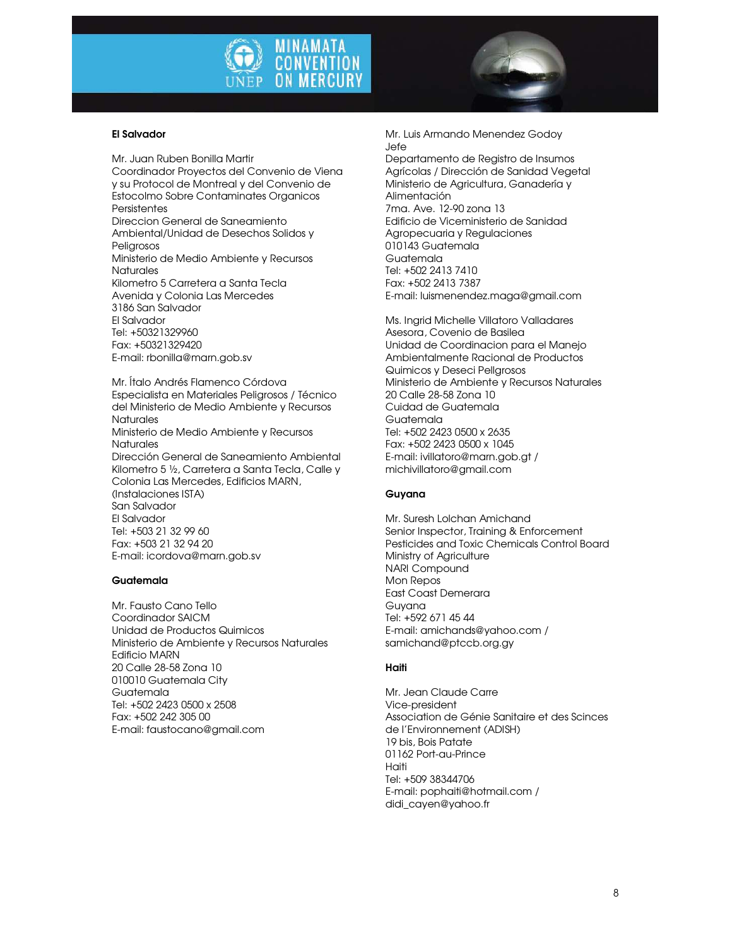



### El Salvador

Mr. Juan Ruben Bonilla Martir Coordinador Proyectos del Convenio de Viena y su Protocol de Montreal y del Convenio de Estocolmo Sobre Contaminates Organicos **Persistentes** Direccion General de Saneamiento Ambiental/Unidad de Desechos Solidos y Peliarosos Ministerio de Medio Ambiente y Recursos **Naturales** Kilometro 5 Carretera a Santa Tecla Avenida y Colonia Las Mercedes 3186 San Salvador El Salvador Tel: +50321329960 Fax: +50321329420 E-mail: rbonilla@marn.gob.sv

Mr. Ítalo Andrés Flamenco Córdova Especialista en Materiales Peligrosos / Técnico del Ministerio de Medio Ambiente y Recursos **Naturales** Ministerio de Medio Ambiente y Recursos **Naturales** Dirección General de Saneamiento Ambiental Kilometro 5 ½, Carretera a Santa Tecla, Calle y Colonia Las Mercedes, Edificios MARN, (Instalaciones ISTA) San Salvador El Salvador Tel: +503 21 32 99 60 Fax: +503 21 32 94 20 E-mail: icordova@marn.gob.sv

#### **Guatemala**

Mr. Fausto Cano Tello Coordinador SAICM Unidad de Productos Quimicos Ministerio de Ambiente y Recursos Naturales Edificio MARN 20 Calle 28-58 Zona 10 010010 Guatemala City Guatemala Tel: +502 2423 0500 x 2508 Fax: +502 242 305 00 E-mail: faustocano@gmail.com

Mr. Luis Armando Menendez Godoy Jefe

Departamento de Registro de Insumos Agrícolas / Dirección de Sanidad Vegetal Ministerio de Agricultura, Ganadería y Alimentación 7ma. Ave. 12-90 zona 13 Edificio de Viceministerio de Sanidad Agropecuaria y Regulaciones 010143 Guatemala Guatemala Tel: +502 2413 7410 Fax: +502 2413 7387 E-mail: luismenendez.maga@gmail.com

Ms. Ingrid Michelle Villatoro Valladares Asesora, Covenio de Basilea Unidad de Coordinacion para el Manejo Ambientalmente Racional de Productos Quimicos y Deseci Pellgrosos Ministerio de Ambiente y Recursos Naturales 20 Calle 28-58 Zona 10 Cuidad de Guatemala Guatemala Tel: +502 2423 0500 x 2635 Fax: +502 2423 0500 x 1045 E-mail: ivillatoro@marn.gob.gt / michivillatoro@gmail.com

### Guyana

Mr. Suresh Lolchan Amichand Senior Inspector, Training & Enforcement Pesticides and Toxic Chemicals Control Board Ministry of Agriculture NARI Compound Mon Repos East Coast Demerara Guyana Tel: +592 671 45 44 E-mail: amichands@yahoo.com / samichand@ptccb.org.gy

### Haiti

Mr. Jean Claude Carre Vice-president Association de Génie Sanitaire et des Scinces de l'Environnement (ADISH) 19 bis, Bois Patate 01162 Port-au-Prince Haiti Tel: +509 38344706 E-mail: pophaiti@hotmail.com / didi\_cayen@yahoo.fr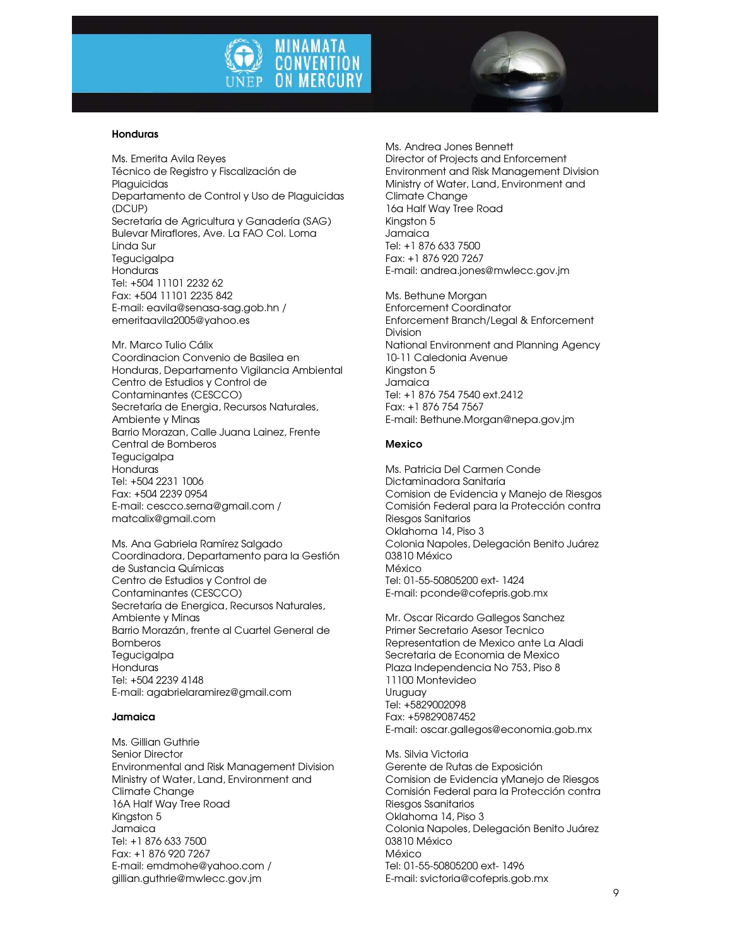



#### Honduras

Ms. Emerita Avila Reyes Técnico de Registro y Fiscalización de Plaguicidas Departamento de Control y Uso de Plaguicidas (DCUP) Secretaría de Agricultura y Ganadería (SAG) Bulevar Miraflores, Ave. La FAO Col. Loma Linda Sur **Tegucigalpa** Honduras Tel: +504 11101 2232 62 Fax: +504 11101 2235 842 E-mail: eavila@senasa-sag.gob.hn / emeritaavila2005@yahoo.es

Mr. Marco Tulio Cálix Coordinacion Convenio de Basilea en Honduras, Departamento Vigilancia Ambiental Centro de Estudios y Control de Contaminantes (CESCCO) Secretaría de Energia, Recursos Naturales, Ambiente y Minas Barrio Morazan, Calle Juana Lainez, Frente Central de Bomberos **Tegucigalpa Honduras** Tel: +504 2231 1006 Fax: +504 2239 0954 E-mail: cescco.serna@gmail.com / matcalix@gmail.com

Ms. Ana Gabriela Ramírez Salgado Coordinadora, Departamento para la Gestión de Sustancia Químicas Centro de Estudios y Control de Contaminantes (CESCCO) Secretaría de Energica, Recursos Naturales, Ambiente y Minas Barrio Morazán, frente al Cuartel General de **Bomberos Tegucigalpa** Honduras Tel: +504 2239 4148 E-mail: agabrielaramirez@gmail.com

### Jamaica

Ms. Gillian Guthrie Senior Director Environmental and Risk Management Division Ministry of Water, Land, Environment and Climate Change 16A Half Way Tree Road Kingston 5 Jamaica Tel: +1 876 633 7500 Fax: +1 876 920 7267 E-mail: emdmohe@yahoo.com / gillian.guthrie@mwlecc.gov.jm

Ms. Andrea Jones Bennett Director of Projects and Enforcement Environment and Risk Management Division Ministry of Water, Land, Environment and Climate Change 16a Half Way Tree Road Kingston 5 Jamaica Tel: +1 876 633 7500 Fax: +1 876 920 7267 E-mail: andrea.jones@mwlecc.gov.jm

Ms. Bethune Morgan Enforcement Coordinator Enforcement Branch/Legal & Enforcement Division National Environment and Planning Agency 10-11 Caledonia Avenue Kingston 5 Jamaica Tel: +1 876 754 7540 ext.2412 Fax: +1 876 754 7567 E-mail: Bethune.Morgan@nepa.gov.jm

### Mexico

Ms. Patricia Del Carmen Conde Dictaminadora Sanitaria Comision de Evidencia y Manejo de Riesgos Comisión Federal para la Protección contra Riesgos Sanitarios Oklahoma 14, Piso 3 Colonia Napoles, Delegación Benito Juárez 03810 México México Tel: 01-55-50805200 ext- 1424 E-mail: pconde@cofepris.gob.mx

Mr. Oscar Ricardo Gallegos Sanchez Primer Secretario Asesor Tecnico Representation de Mexico ante La Aladi Secretaria de Economia de Mexico Plaza Independencia No 753, Piso 8 11100 Montevideo Uruguay Tel: +5829002098 Fax: +59829087452 E-mail: oscar.gallegos@economia.gob.mx

Ms. Silvia Victoria Gerente de Rutas de Exposición Comision de Evidencia yManejo de Riesgos Comisión Federal para la Protección contra Riesgos Ssanitarios Oklahoma 14, Piso 3 Colonia Napoles, Delegación Benito Juárez 03810 México México Tel: 01-55-50805200 ext- 1496 E-mail: svictoria@cofepris.gob.mx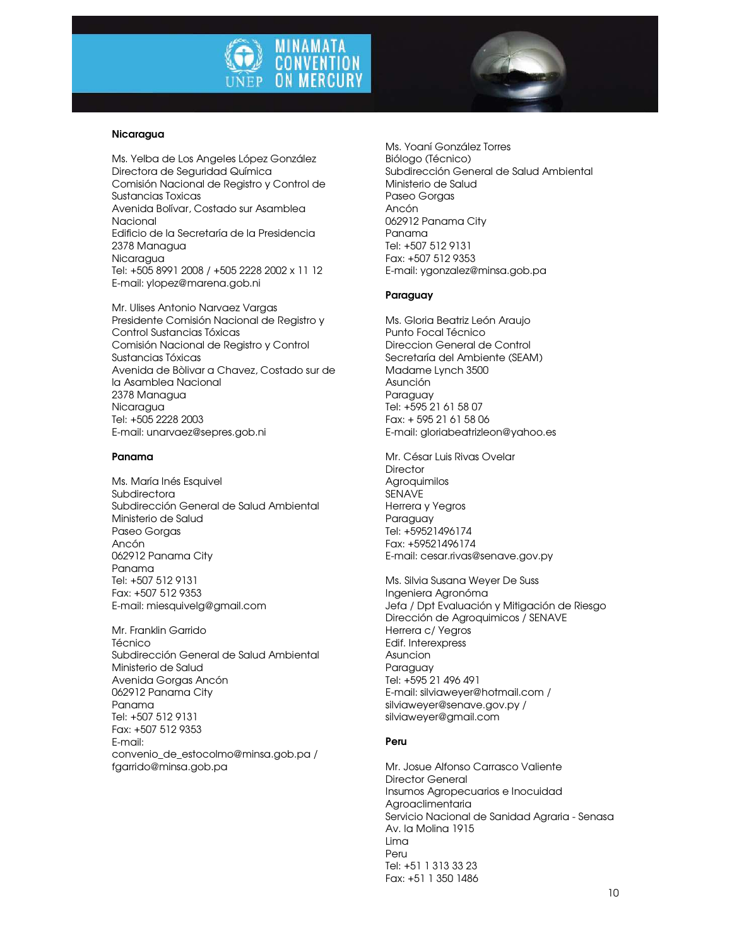



### Nicaragua

Ms. Yelba de Los Angeles López González Directora de Seguridad Química Comisión Nacional de Registro y Control de Sustancias Toxicas Avenida Bolívar, Costado sur Asamblea Nacional Edificio de la Secretaría de la Presidencia 2378 Managua Nicaragua Tel: +505 8991 2008 / +505 2228 2002 x 11 12 E-mail: ylopez@marena.gob.ni

Mr. Ulises Antonio Narvaez Vargas Presidente Comisión Nacional de Registro y Control Sustancias Tóxicas Comisión Nacional de Registro y Control Sustancias Tóxicas Avenida de Bòlivar a Chavez, Costado sur de la Asamblea Nacional 2378 Managua Nicaragua Tel: +505 2228 2003 E-mail: unarvaez@sepres.gob.ni

### Panama

Ms. María Inés Esquivel **Subdirectora** Subdirección General de Salud Ambiental Ministerio de Salud Paseo Gorgas Ancón 062912 Panama City Panama Tel: +507 512 9131 Fax: +507 512 9353 E-mail: miesquivelg@gmail.com

Mr. Franklin Garrido Técnico Subdirección General de Salud Ambiental Ministerio de Salud Avenida Gorgas Ancón 062912 Panama City Panama Tel: +507 512 9131 Fax: +507 512 9353 E-mail: convenio\_de\_estocolmo@minsa.gob.pa / fgarrido@minsa.gob.pa

Ms. Yoaní González Torres Biólogo (Técnico) Subdirección General de Salud Ambiental Ministerio de Salud Paseo Gorgas Ancón 062912 Panama City Panama Tel: +507 512 9131 Fax: +507 512 9353 E-mail: ygonzalez@minsa.gob.pa

### Paraguay

Ms. Gloria Beatriz León Araujo Punto Focal Técnico Direccion General de Control Secretaría del Ambiente (SEAM) Madame Lynch 3500 Asunción Paraguay Tel: +595 21 61 58 07 Fax: + 595 21 61 58 06 E-mail: gloriabeatrizleon@yahoo.es

Mr. César Luis Rivas Ovelar **Director** Agroquimilos SENAVE Herrera y Yegros Paraguay Tel: +59521496174 Fax: +59521496174 E-mail: cesar.rivas@senave.gov.py

Ms. Silvia Susana Weyer De Suss Ingeniera Agronóma Jefa / Dpt Evaluación y Mitigación de Riesgo Dirección de Agroquimicos / SENAVE Herrera c/ Yegros Edif. Interexpress Asuncion Paraguay Tel: +595 21 496 491 E-mail: silviaweyer@hotmail.com / silviaweyer@senave.gov.py / silviaweyer@gmail.com

### Peru

Mr. Josue Alfonso Carrasco Valiente Director General Insumos Agropecuarios e Inocuidad Agroaclimentaria Servicio Nacional de Sanidad Agraria - Senasa Av. la Molina 1915 Lima Peru Tel: +51 1 313 33 23 Fax: +51 1 350 1486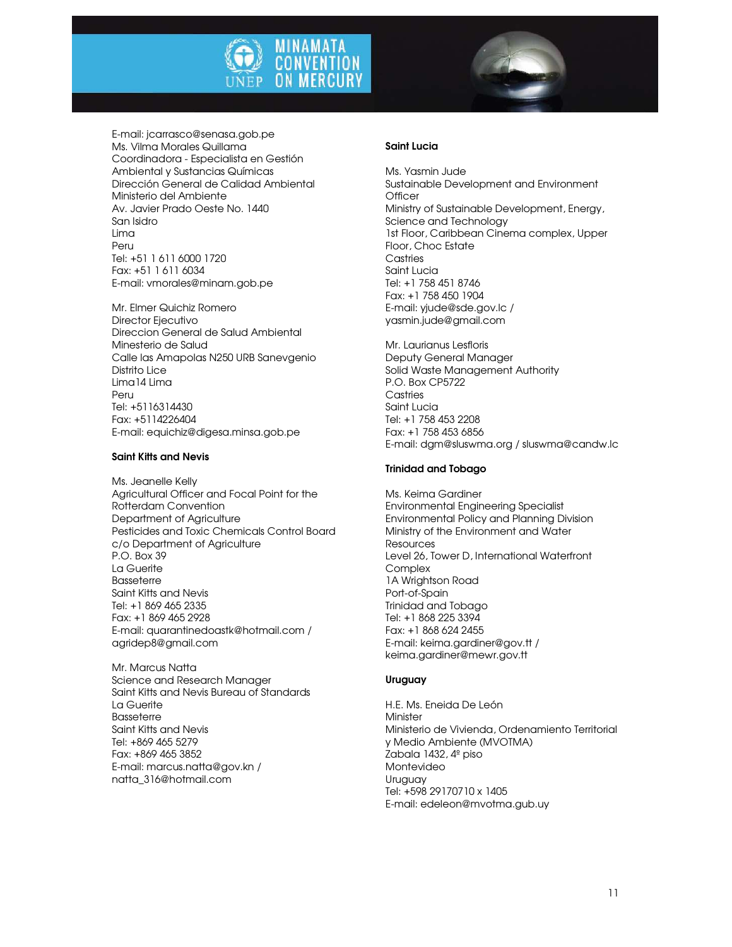



E-mail: jcarrasco@senasa.gob.pe Ms. Vilma Morales Quillama Coordinadora - Especialista en Gestión Ambiental y Sustancias Químicas Dirección General de Calidad Ambiental Ministerio del Ambiente Av. Javier Prado Oeste No. 1440 San Isidro Lima Peru Tel: +51 1 611 6000 1720 Fax: +51 1 611 6034 E-mail: vmorales@minam.gob.pe

Mr. Elmer Quichiz Romero Director Ejecutivo Direccion General de Salud Ambiental Minesterio de Salud Calle las Amapolas N250 URB Sanevgenio Distrito Lice Lima14 Lima Peru Tel: +5116314430 Fax: +5114226404 E-mail: equichiz@digesa.minsa.gob.pe

### Saint Kitts and Nevis

Ms. Jeanelle Kelly Agricultural Officer and Focal Point for the Rotterdam Convention Department of Agriculture Pesticides and Toxic Chemicals Control Board c/o Department of Agriculture P.O. Box 39 La Guerite Basseterre Saint Kitts and Nevis Tel: +1 869 465 2335 Fax: +1 869 465 2928 E-mail: quarantinedoastk@hotmail.com / agridep8@gmail.com

Mr. Marcus Natta Science and Research Manager Saint Kitts and Nevis Bureau of Standards La Guerite Basseterre Saint Kitts and Nevis Tel: +869 465 5279 Fax: +869 465 3852 E-mail: marcus.natta@gov.kn / natta\_316@hotmail.com

### Saint Lucia

Ms. Yasmin Jude Sustainable Development and Environment **Officer** Ministry of Sustainable Development, Energy, Science and Technology 1st Floor, Caribbean Cinema complex, Upper Floor, Choc Estate **Castries** Saint Lucia Tel: +1 758 451 8746 Fax: +1 758 450 1904 E-mail: yjude@sde.gov.lc / yasmin.jude@gmail.com

Mr. Laurianus Lesfloris Deputy General Manager Solid Waste Management Authority P.O. Box CP5722 **Castries** Saint Lucia Tel: +1 758 453 2208 Fax: +1 758 453 6856 E-mail: dgm@sluswma.org / sluswma@candw.lc

### Trinidad and Tobago

Ms. Keima Gardiner Environmental Engineering Specialist Environmental Policy and Planning Division Ministry of the Environment and Water Resources Level 26, Tower D, International Waterfront **Complex** 1A Wrightson Road Port-of-Spain Trinidad and Tobago Tel: +1 868 225 3394 Fax: +1 868 624 2455 E-mail: keima.gardiner@gov.tt / keima.gardiner@mewr.gov.tt

### Uruguay

H.E. Ms. Eneida De León **Minister** Ministerio de Vivienda, Ordenamiento Territorial y Medio Ambiente (MVOTMA) Zabala 1432, 4º piso Montevideo Uruguay Tel: +598 29170710 x 1405 E-mail: edeleon@mvotma.gub.uy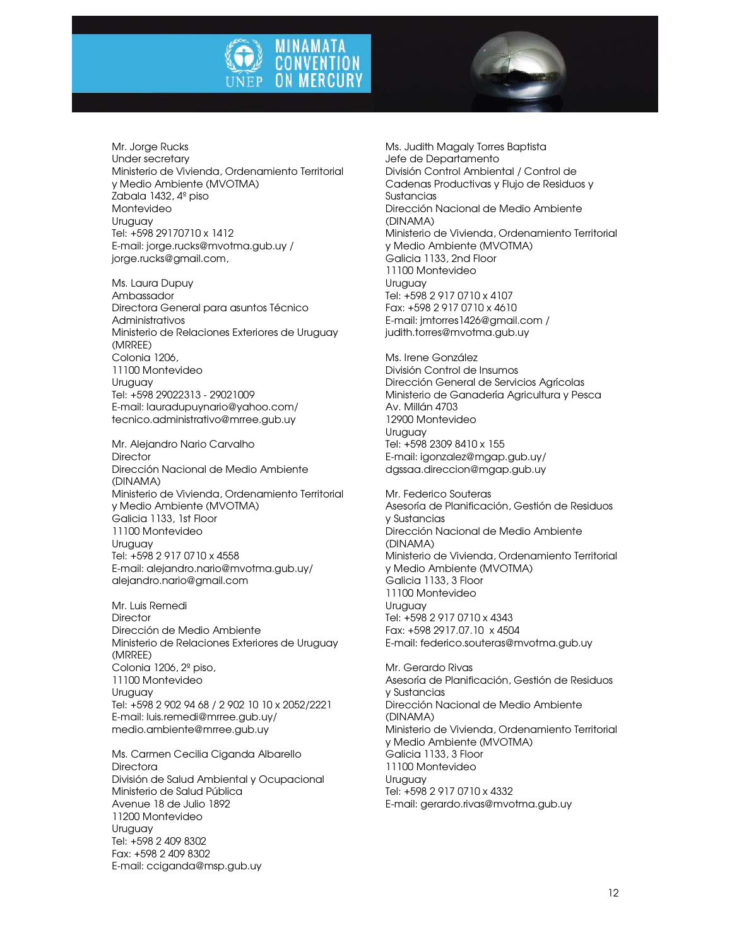



Mr. Jorge Rucks Under secretary Ministerio de Vivienda, Ordenamiento Territorial y Medio Ambiente (MVOTMA) Zabala 1432, 4º piso Montevideo Uruguay Tel: +598 29170710 x 1412 E-mail: jorge.rucks@mvotma.gub.uy / jorge.rucks@gmail.com,

Ms. Laura Dupuy Ambassador Directora General para asuntos Técnico Administrativos Ministerio de Relaciones Exteriores de Uruguay (MRREE) Colonia 1206, 11100 Montevideo Uruguay Tel: +598 29022313 - 29021009 E-mail: lauradupuynario@yahoo.com/ tecnico.administrativo@mrree.gub.uy

Mr. Alejandro Nario Carvalho **Director** Dirección Nacional de Medio Ambiente (DINAMA) Ministerio de Vivienda, Ordenamiento Territorial y Medio Ambiente (MVOTMA) Galicia 1133, 1st Floor 11100 Montevideo **Uruguay** Tel: +598 2 917 0710 x 4558 E-mail: alejandro.nario@mvotma.gub.uy/ alejandro.nario@gmail.com

Mr. Luis Remedi **Director** Dirección de Medio Ambiente Ministerio de Relaciones Exteriores de Uruguay (MRREE) Colonia 1206, 2º piso, 11100 Montevideo Uruguay Tel: +598 2 902 94 68 / 2 902 10 10 x 2052/2221 E-mail: luis.remedi@mrree.gub.uy/ medio.ambiente@mrree.gub.uy

Ms. Carmen Cecilia Ciganda Albarello **Directora** División de Salud Ambiental y Ocupacional Ministerio de Salud Pública Avenue 18 de Julio 1892 11200 Montevideo Uruguay Tel: +598 2 409 8302 Fax: +598 2 409 8302 E-mail: cciganda@msp.gub.uy

Ms. Judith Magaly Torres Baptista Jefe de Departamento División Control Ambiental / Control de Cadenas Productivas y Flujo de Residuos y **Sustancias** Dirección Nacional de Medio Ambiente (DINAMA) Ministerio de Vivienda, Ordenamiento Territorial y Medio Ambiente (MVOTMA) Galicia 1133, 2nd Floor 11100 Montevideo Uruguay Tel: +598 2 917 0710 x 4107 Fax: +598 2 917 0710 x 4610 E-mail: jmtorres1426@gmail.com / judith.torres@mvotma.gub.uy

Ms. Irene González División Control de Insumos Dirección General de Servicios Agrícolas Ministerio de Ganadería Agricultura y Pesca Av. Millán 4703 12900 Montevideo Uruguay Tel: +598 2309 8410 x 155 E-mail: igonzalez@mgap.gub.uy/ dgssaa.direccion@mgap.gub.uy

Mr. Federico Souteras Asesoría de Planificación, Gestión de Residuos y Sustancias Dirección Nacional de Medio Ambiente (DINAMA) Ministerio de Vivienda, Ordenamiento Territorial y Medio Ambiente (MVOTMA) Galicia 1133, 3 Floor 11100 Montevideo Uruguay Tel: +598 2 917 0710 x 4343 Fax: +598 2917.07.10 x 4504 E-mail: federico.souteras@mvotma.gub.uy

Mr. Gerardo Rivas Asesoría de Planificación, Gestión de Residuos y Sustancias Dirección Nacional de Medio Ambiente (DINAMA) Ministerio de Vivienda, Ordenamiento Territorial y Medio Ambiente (MVOTMA) Galicia 1133, 3 Floor 11100 Montevideo Uruguay Tel: +598 2 917 0710 x 4332 E-mail: gerardo.rivas@mvotma.gub.uy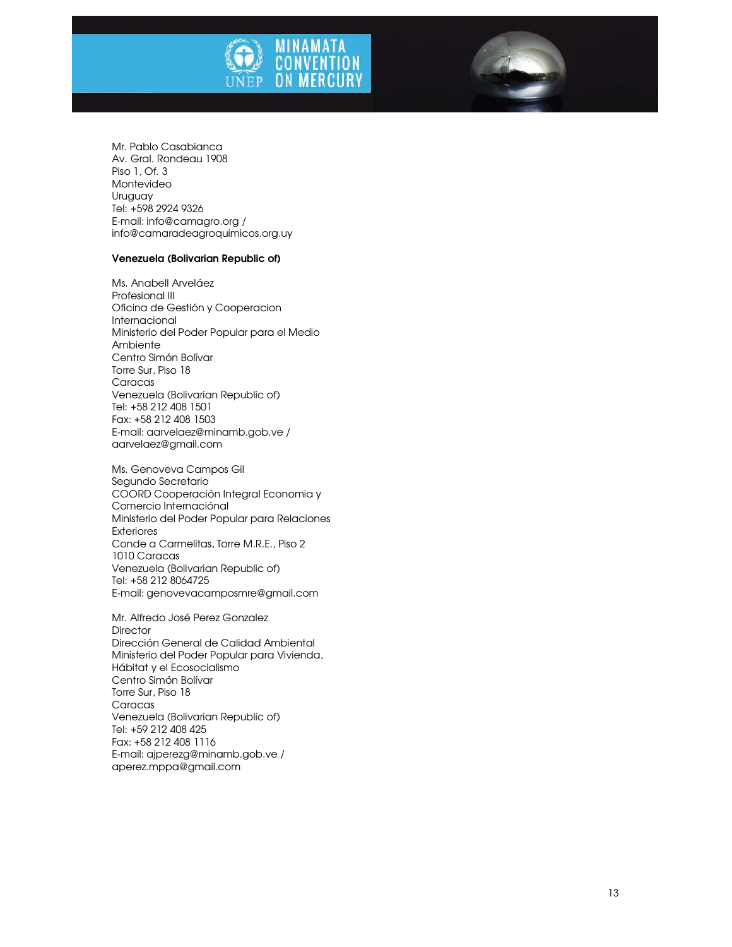



#### Venezuela (Bolivarian Republic of)

Ms. Anabell Arveláez Profesional III Oficina de Gestión y Cooperacion Internacional Ministerio del Poder Popular para el Medio Ambiente Centro Simón Bolívar Torre Sur, Piso 18 **Caracas** Venezuela (Bolivarian Republic of) Tel: +58 212 408 1501 Fax: +58 212 408 1503 E-mail: aarvelaez@minamb.gob.ve / aarvelaez@gmail.com

Ms. Genoveva Campos Gil Segundo Secretario COORD Cooperación Integral Economia y Comercio Internaciónal Ministerio del Poder Popular para Relaciones Exteriores Conde a Carmelitas, Torre M.R.E., Piso 2 1010 Caracas Venezuela (Bolivarian Republic of) Tel: +58 212 8064725 E-mail: genovevacamposmre@gmail.com

Mr. Alfredo José Perez Gonzalez **Director** Dirección General de Calidad Ambiental Ministerio del Poder Popular para Vivienda, Hábitat y el Ecosocialismo Centro Simón Bolívar Torre Sur, Piso 18 **Caracas** Venezuela (Bolivarian Republic of) Tel: +59 212 408 425 Fax: +58 212 408 1116 E-mail: ajperezg@minamb.gob.ve / aperez.mppa@gmail.com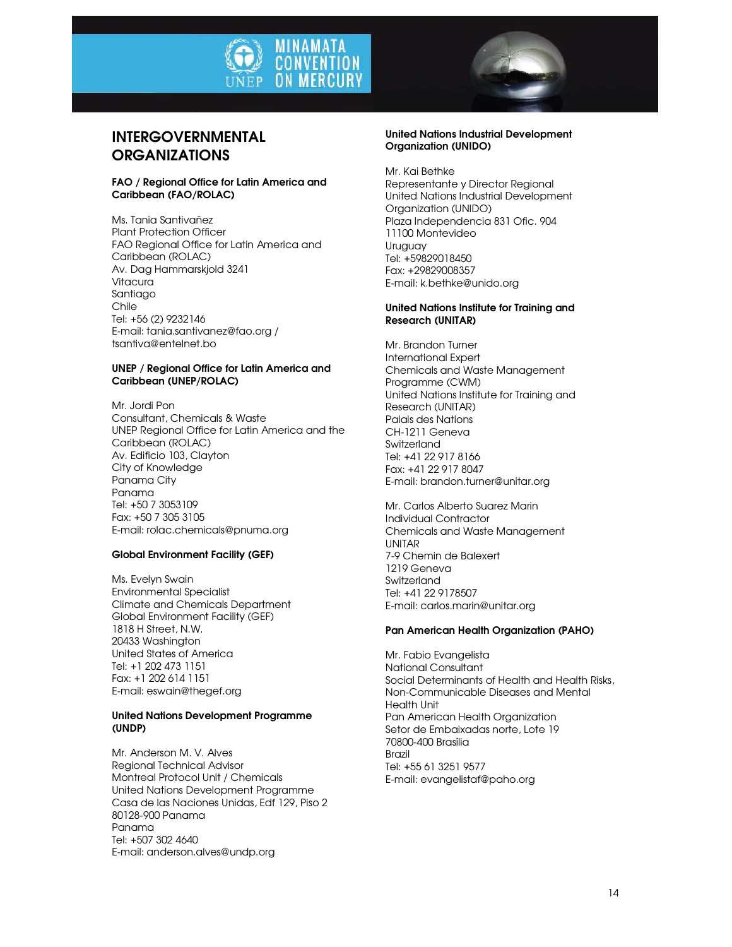



### INTERGOVERNMENTAL **ORGANIZATIONS**

### FAO / Regional Office for Latin America and Caribbean (FAO/ROLAC)

Ms. Tania Santivañez Plant Protection Officer FAO Regional Office for Latin America and Caribbean (ROLAC) Av. Dag Hammarskjold 3241 Vitacura Santiago Chile Tel: +56 (2) 9232146 E-mail: tania.santivanez@fao.org / tsantiva@entelnet.bo

### UNEP / Regional Office for Latin America and Caribbean (UNEP/ROLAC)

Mr. Jordi Pon Consultant, Chemicals & Waste UNEP Regional Office for Latin America and the Caribbean (ROLAC) Av. Edificio 103, Clayton City of Knowledge Panama City Panama Tel: +50 7 3053109 Fax: +50 7 305 3105 E-mail: rolac.chemicals@pnuma.org

### Global Environment Facility (GEF)

Ms. Evelyn Swain Environmental Specialist Climate and Chemicals Department Global Environment Facility (GEF) 1818 H Street, N.W. 20433 Washington United States of America Tel: +1 202 473 1151 Fax: +1 202 614 1151 E-mail: eswain@thegef.org

### United Nations Development Programme (UNDP)

Mr. Anderson M. V. Alves Regional Technical Advisor Montreal Protocol Unit / Chemicals United Nations Development Programme Casa de las Naciones Unidas, Edf 129, Piso 2 80128-900 Panama Panama Tel: +507 302 4640 E-mail: anderson.alves@undp.org

### United Nations Industrial Development Organization (UNIDO)

Mr. Kai Bethke Representante y Director Regional United Nations Industrial Development Organization (UNIDO) Plaza Independencia 831 Ofic. 904 11100 Montevideo Uruguay Tel: +59829018450 Fax: +29829008357 E-mail: k.bethke@unido.org

### United Nations Institute for Training and Research (UNITAR)

Mr. Brandon Turner International Expert Chemicals and Waste Management Programme (CWM) United Nations Institute for Training and Research (UNITAR) Palais des Nations CH-1211 Geneva Switzerland Tel: +41 22 917 8166 Fax: +41 22 917 8047 E-mail: brandon.turner@unitar.org

Mr. Carlos Alberto Suarez Marin Individual Contractor Chemicals and Waste Management UNITAR 7-9 Chemin de Balexert 1219 Geneva Switzerland Tel: +41 22 9178507 E-mail: carlos.marin@unitar.org

### Pan American Health Organization (PAHO)

Mr. Fabio Evangelista National Consultant Social Determinants of Health and Health Risks, Non-Communicable Diseases and Mental Health Unit Pan American Health Organization Setor de Embaixadas norte, Lote 19 70800-400 Brasília Brazil Tel: +55 61 3251 9577 E-mail: evangelistaf@paho.org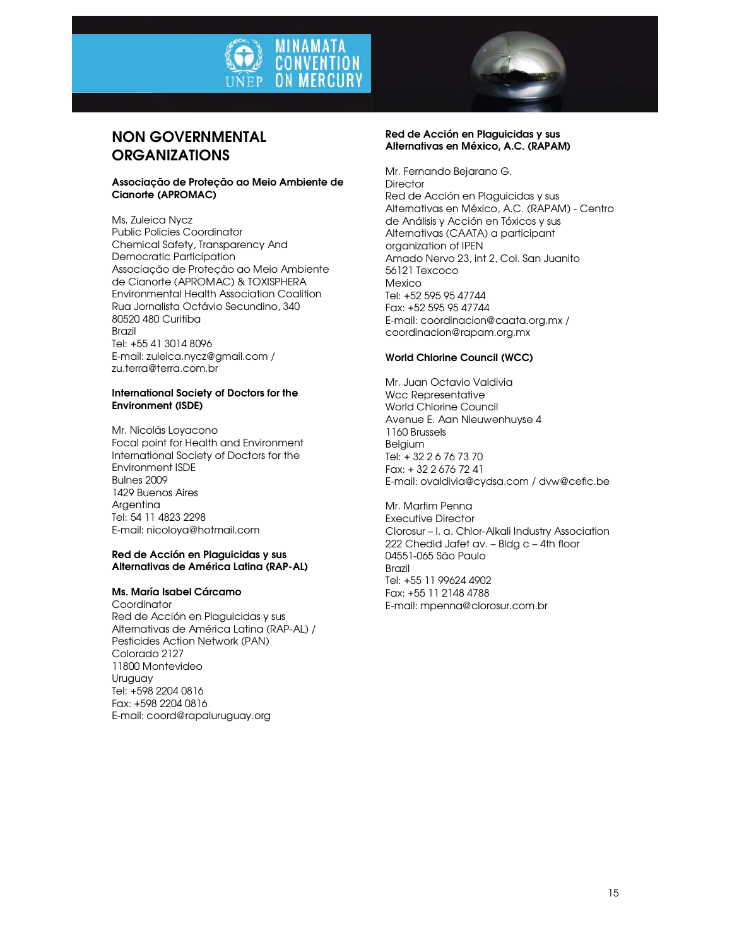



### NON GOVERNMENTAL **ORGANIZATIONS**

### Associação de Proteção ao Meio Ambiente de Cianorte (APROMAC)

Ms. Zuleica Nycz Public Policies Coordinator Chemical Safety, Transparency And Democratic Participation Associação de Proteção ao Meio Ambiente de Cianorte (APROMAC) & TOXISPHERA Environmental Health Association Coalition Rua Jornalista Octávio Secundino, 340 80520 480 Curitiba Brazil Tel: +55 41 3014 8096 E-mail: zuleica.nycz@gmail.com / zu.terra@terra.com.br

### International Society of Doctors for the Environment (ISDE)

Mr. Nicolás Loyacono Focal point for Health and Environment International Society of Doctors for the Environment ISDE Bulnes 2009 1429 Buenos Aires Argentina Tel: 54 11 4823 2298 E-mail: nicoloya@hotmail.com

### Red de Acción en Plaguicidas y sus Alternativas de América Latina (RAP-AL)

### Ms. María Isabel Cárcamo

Coordinator Red de Acción en Plaguicidas y sus Alternativas de América Latina (RAP-AL) / Pesticides Action Network (PAN) Colorado 2127 11800 Montevideo Uruguay Tel: +598 2204 0816 Fax: +598 2204 0816 E-mail: coord@rapaluruguay.org

### Red de Acción en Plaguicidas y sus Alternativas en México, A.C. (RAPAM)

Mr. Fernando Bejarano G. **Director** Red de Acción en Plaguicidas y sus Alternativas en México, A.C. (RAPAM) - Centro de Análisis y Acción en Tóxicos y sus Alternativas (CAATA) a participant organization of IPEN Amado Nervo 23, int 2, Col. San Juanito 56121 Texcoco Mexico Tel: +52 595 95 47744 Fax: +52 595 95 47744 E-mail: coordinacion@caata.org.mx / coordinacion@rapam.org.mx

### World Chlorine Council (WCC)

Mr. Juan Octavio Valdivia Wcc Representative World Chlorine Council Avenue E. Aan Nieuwenhuyse 4 1160 Brussels Belgium Tel: + 32 2 6 76 73 70 Fax: + 32 2 676 72 41 E-mail: ovaldivia@cydsa.com / dvw@cefic.be

Mr. Martim Penna Executive Director Clorosur – l. a. Chlor-Alkali Industry Association 222 Chedid Jafet av. – Bldg c – 4th floor 04551-065 São Paulo Brazil Tel: +55 11 99624 4902 Fax: +55 11 2148 4788 E-mail: mpenna@clorosur.com.br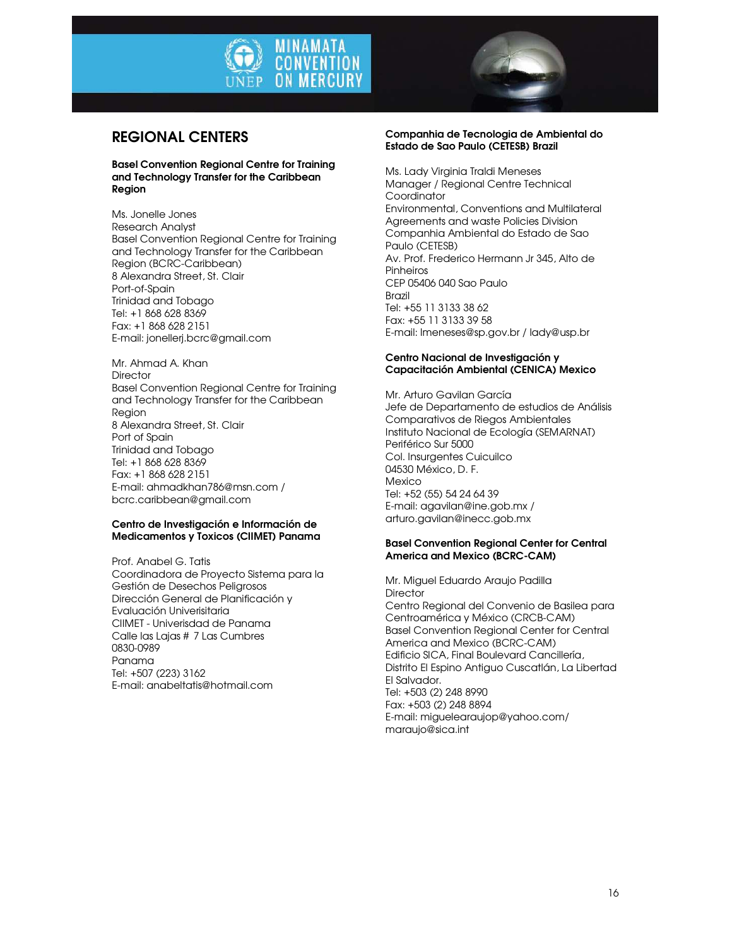



### REGIONAL CENTERS

### Basel Convention Regional Centre for Training and Technology Transfer for the Caribbean Region

Ms. Jonelle Jones Research Analyst Basel Convention Regional Centre for Training and Technology Transfer for the Caribbean Region (BCRC-Caribbean) 8 Alexandra Street, St. Clair Port-of-Spain Trinidad and Tobago Tel: +1 868 628 8369 Fax: +1 868 628 2151 E-mail: jonellerj.bcrc@gmail.com

Mr. Ahmad A. Khan **Director** Basel Convention Regional Centre for Training and Technology Transfer for the Caribbean Region 8 Alexandra Street, St. Clair Port of Spain Trinidad and Tobago Tel: +1 868 628 8369 Fax: +1 868 628 2151 E-mail: ahmadkhan786@msn.com / bcrc.caribbean@gmail.com

### Centro de Investigación e Información de Medicamentos y Toxicos (CIIMET) Panama

Prof. Anabel G. Tatis Coordinadora de Proyecto Sistema para la Gestión de Desechos Peligrosos Dirección General de Planificación y Evaluación Univerisitaria CIIMET - Univerisdad de Panama Calle las Lajas # 7 Las Cumbres 0830-0989 Panama Tel: +507 (223) 3162 E-mail: anabeltatis@hotmail.com

### Companhia de Tecnologia de Ambiental do Estado de Sao Paulo (CETESB) Brazil

Ms. Lady Virginia Traldi Meneses Manager / Regional Centre Technical **Coordinator** Environmental, Conventions and Multilateral Agreements and waste Policies Division Companhia Ambiental do Estado de Sao Paulo (CETESB) Av. Prof. Frederico Hermann Jr 345, Alto de **Pinheiros** CEP 05406 040 Sao Paulo Brazil Tel: +55 11 3133 38 62 Fax: +55 11 3133 39 58 E-mail: lmeneses@sp.gov.br / lady@usp.br

### Centro Nacional de Investigación y Capacitación Ambiental (CENICA) Mexico

Mr. Arturo Gavilan García Jefe de Departamento de estudios de Análisis Comparativos de Riegos Ambientales Instituto Nacional de Ecología (SEMARNAT) Periférico Sur 5000 Col. Insurgentes Cuicuilco 04530 México, D. F. Mexico Tel: +52 (55) 54 24 64 39 E-mail: agavilan@ine.gob.mx / arturo.gavilan@inecc.gob.mx

### Basel Convention Regional Center for Central America and Mexico (BCRC-CAM)

Mr. Miguel Eduardo Araujo Padilla **Director** Centro Regional del Convenio de Basilea para Centroamérica y México (CRCB-CAM) Basel Convention Regional Center for Central America and Mexico (BCRC-CAM) Edificio SICA, Final Boulevard Cancillería, Distrito El Espino Antiguo Cuscatlán, La Libertad El Salvador. Tel: +503 (2) 248 8990 Fax: +503 (2) 248 8894 E-mail: miguelearaujop@yahoo.com/ maraujo@sica.int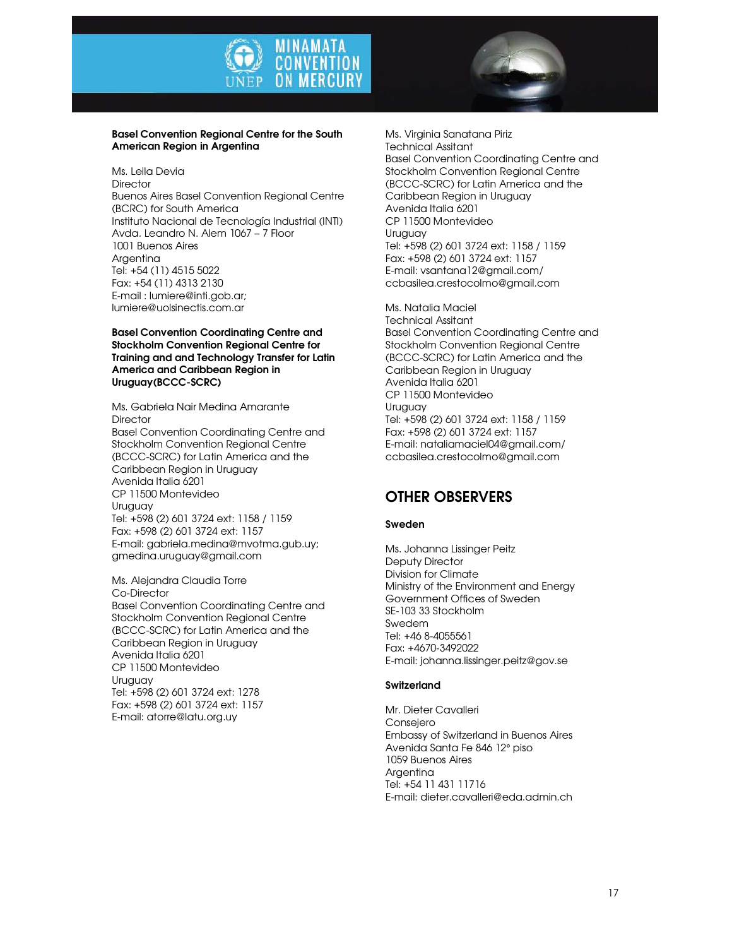



### Basel Convention Regional Centre for the South American Region in Argentina

Ms. Leila Devia **Director** Buenos Aires Basel Convention Regional Centre (BCRC) for South America Instituto Nacional de Tecnología Industrial (INTI) Avda. Leandro N. Alem 1067 – 7 Floor 1001 Buenos Aires Argentina Tel: +54 (11) 4515 5022 Fax: +54 (11) 4313 2130 E-mail : lumiere@inti.gob.ar; lumiere@uolsinectis.com.ar

Basel Convention Coordinating Centre and Stockholm Convention Regional Centre for Training and and Technology Transfer for Latin America and Caribbean Region in Uruguay(BCCC-SCRC)

Ms. Gabriela Nair Medina Amarante **Director** Basel Convention Coordinating Centre and Stockholm Convention Regional Centre (BCCC-SCRC) for Latin America and the Caribbean Region in Uruguay Avenida Italia 6201 CP 11500 Montevideo Uruguay Tel: +598 (2) 601 3724 ext: 1158 / 1159 Fax: +598 (2) 601 3724 ext: 1157 E-mail: gabriela.medina@mvotma.gub.uy; gmedina.uruguay@gmail.com

Ms. Alejandra Claudia Torre Co-Director Basel Convention Coordinating Centre and Stockholm Convention Regional Centre (BCCC-SCRC) for Latin America and the Caribbean Region in Uruguay Avenida Italia 6201 CP 11500 Montevideo Uruguay Tel: +598 (2) 601 3724 ext: 1278 Fax: +598 (2) 601 3724 ext: 1157 E-mail: atorre@latu.org.uy

Ms. Virginia Sanatana Piriz Technical Assitant Basel Convention Coordinating Centre and Stockholm Convention Regional Centre (BCCC-SCRC) for Latin America and the Caribbean Region in Uruguay Avenida Italia 6201 CP 11500 Montevideo Uruguay Tel: +598 (2) 601 3724 ext: 1158 / 1159 Fax: +598 (2) 601 3724 ext: 1157 E-mail: vsantana12@gmail.com/ ccbasilea.crestocolmo@gmail.com

Ms. Natalia Maciel Technical Assitant Basel Convention Coordinating Centre and Stockholm Convention Regional Centre (BCCC-SCRC) for Latin America and the Caribbean Region in Uruguay Avenida Italia 6201 CP 11500 Montevideo Uruguay Tel: +598 (2) 601 3724 ext: 1158 / 1159 Fax: +598 (2) 601 3724 ext: 1157 E-mail: nataliamaciel04@gmail.com/ ccbasilea.crestocolmo@gmail.com

## OTHER OBSERVERS

### Sweden

Ms. Johanna Lissinger Peitz Deputy Director Division for Climate Ministry of the Environment and Energy Government Offices of Sweden SE-103 33 Stockholm Swedem Tel: +46 8-4055561 Fax: +4670-3492022 E-mail: johanna.lissinger.peitz@gov.se

### **Switzerland**

Mr. Dieter Cavalleri **Consejero** Embassy of Switzerland in Buenos Aires Avenida Santa Fe 846 12° piso 1059 Buenos Aires **Argenting** Tel: +54 11 431 11716 E-mail: dieter.cavalleri@eda.admin.ch